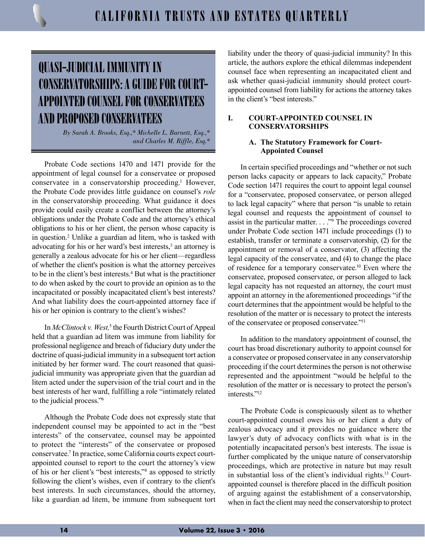# QUASI-JUDICIAL IMMUNITY IN CONSERVATORSHIPS: A GUIDE FOR COURT-APPOINTED COUNSEL FOR CONSERVATEES AND PROPOSED CONSERVATEES

*By Sarah A. Brooks, Esq.,\* Michelle L. Barnett, Esq.,\* and Charles M. Riffle, Esq.\**

Probate Code sections 1470 and 1471 provide for the appointment of legal counsel for a conservatee or proposed conservatee in a conservatorship proceeding.<sup>1</sup> However, the Probate Code provides little guidance on counsel's *role* in the conservatorship proceeding. What guidance it does provide could easily create a conflict between the attorney's obligations under the Probate Code and the attorney's ethical obligations to his or her client, the person whose capacity is in question.2 Unlike a guardian ad litem, who is tasked with advocating for his or her ward's best interests,<sup>3</sup> an attorney is generally a zealous advocate for his or her client—regardless of whether the client's position is what the attorney perceives to be in the client's best interests.<sup>4</sup> But what is the practitioner to do when asked by the court to provide an opinion as to the incapacitated or possibly incapacitated client's best interests? And what liability does the court-appointed attorney face if his or her opinion is contrary to the client's wishes?

In *McClintock v. West*,<sup>5</sup> the Fourth District Court of Appeal held that a guardian ad litem was immune from liability for professional negligence and breach of fiduciary duty under the doctrine of quasi-judicial immunity in a subsequent tort action initiated by her former ward. The court reasoned that quasijudicial immunity was appropriate given that the guardian ad litem acted under the supervision of the trial court and in the best interests of her ward, fulfilling a role "intimately related to the judicial process."6

Although the Probate Code does not expressly state that independent counsel may be appointed to act in the "best interests" of the conservatee, counsel may be appointed to protect the "interests" of the conservatee or proposed conservatee.7 In practice, some California courts expect courtappointed counsel to report to the court the attorney's view of his or her client's "best interests,"8 as opposed to strictly following the client's wishes, even if contrary to the client's best interests. In such circumstances, should the attorney, like a guardian ad litem, be immune from subsequent tort

liability under the theory of quasi-judicial immunity? In this article, the authors explore the ethical dilemmas independent counsel face when representing an incapacitated client and ask whether quasi-judicial immunity should protect courtappointed counsel from liability for actions the attorney takes in the client's "best interests."

# **I. COURT-APPOINTED COUNSEL IN CONSERVATORSHIPS**

# **A. The Statutory Framework for Court-Appointed Counsel**

In certain specified proceedings and "whether or not such person lacks capacity or appears to lack capacity," Probate Code section 1471 requires the court to appoint legal counsel for a "conservatee, proposed conservatee, or person alleged to lack legal capacity" where that person "is unable to retain legal counsel and requests the appointment of counsel to assist in the particular matter. . . ."9 The proceedings covered under Probate Code section 1471 include proceedings (1) to establish, transfer or terminate a conservatorship, (2) for the appointment or removal of a conservator, (3) affecting the legal capacity of the conservatee, and (4) to change the place of residence for a temporary conservatee.10 Even where the conservatee, proposed conservatee, or person alleged to lack legal capacity has not requested an attorney, the court must appoint an attorney in the aforementioned proceedings "if the court determines that the appointment would be helpful to the resolution of the matter or is necessary to protect the interests of the conservatee or proposed conservatee."11

In addition to the mandatory appointment of counsel, the court has broad discretionary authority to appoint counsel for a conservatee or proposed conservatee in any conservatorship proceeding if the court determines the person is not otherwise represented and the appointment "would be helpful to the resolution of the matter or is necessary to protect the person's interests<sup>"12</sup>

The Probate Code is conspicuously silent as to whether court-appointed counsel owes his or her client a duty of zealous advocacy and it provides no guidance where the lawyer's duty of advocacy conflicts with what is in the potentially incapacitated person's best interests. The issue is further complicated by the unique nature of conservatorship proceedings, which are protective in nature but may result in substantial loss of the client's individual rights.13 Courtappointed counsel is therefore placed in the difficult position of arguing against the establishment of a conservatorship, when in fact the client may need the conservatorship to protect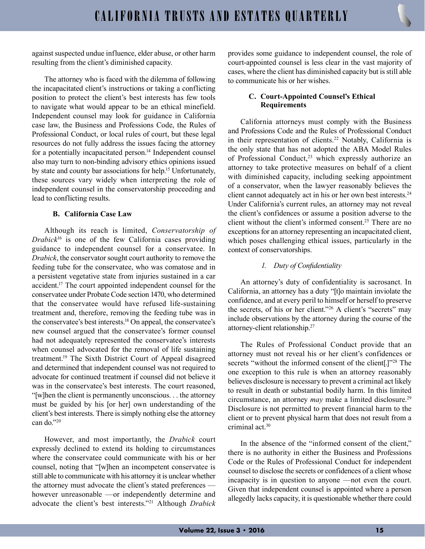against suspected undue influence, elder abuse, or other harm resulting from the client's diminished capacity.

The attorney who is faced with the dilemma of following the incapacitated client's instructions or taking a conflicting position to protect the client's best interests has few tools to navigate what would appear to be an ethical minefield. Independent counsel may look for guidance in California case law, the Business and Professions Code, the Rules of Professional Conduct, or local rules of court, but these legal resources do not fully address the issues facing the attorney for a potentially incapacitated person.<sup>14</sup> Independent counsel also may turn to non-binding advisory ethics opinions issued by state and county bar associations for help.15 Unfortunately, these sources vary widely when interpreting the role of independent counsel in the conservatorship proceeding and lead to conflicting results.

#### **B. California Case Law**

Although its reach is limited, *Conservatorship of Drabick*16 is one of the few California cases providing guidance to independent counsel for a conservatee. In *Drabick*, the conservator sought court authority to remove the feeding tube for the conservatee, who was comatose and in a persistent vegetative state from injuries sustained in a car accident.17 The court appointed independent counsel for the conservatee under Probate Code section 1470, who determined that the conservatee would have refused life-sustaining treatment and, therefore, removing the feeding tube was in the conservatee's best interests.18 On appeal, the conservatee's new counsel argued that the conservatee's former counsel had not adequately represented the conservatee's interests when counsel advocated for the removal of life sustaining treatment.19 The Sixth District Court of Appeal disagreed and determined that independent counsel was not required to advocate for continued treatment if counsel did not believe it was in the conservatee's best interests. The court reasoned, "[w]hen the client is permanently unconscious. . . the attorney must be guided by his [or her] own understanding of the client's best interests. There is simply nothing else the attorney can do."20

However, and most importantly, the *Drabick* court expressly declined to extend its holding to circumstances where the conservatee could communicate with his or her counsel, noting that "[w]hen an incompetent conservatee is still able to communicate with his attorney it is unclear whether the attorney must advocate the client's stated preferences however unreasonable —or independently determine and advocate the client's best interests."21 Although *Drabick* provides some guidance to independent counsel, the role of court-appointed counsel is less clear in the vast majority of cases, where the client has diminished capacity but is still able to communicate his or her wishes.

# **C. Court-Appointed Counsel's Ethical Requirements**

California attorneys must comply with the Business and Professions Code and the Rules of Professional Conduct in their representation of clients.<sup>22</sup> Notably, California is the only state that has not adopted the ABA Model Rules of Professional Conduct,<sup>23</sup> which expressly authorize an attorney to take protective measures on behalf of a client with diminished capacity, including seeking appointment of a conservator, when the lawyer reasonably believes the client cannot adequately act in his or her own best interests.<sup>24</sup> Under California's current rules, an attorney may not reveal the client's confidences or assume a position adverse to the client without the client's informed consent.<sup>25</sup> There are no exceptions for an attorney representing an incapacitated client, which poses challenging ethical issues, particularly in the context of conservatorships.

# *1. Duty of Confidentiality*

An attorney's duty of confidentiality is sacrosanct. In California, an attorney has a duty "[t]o maintain inviolate the confidence, and at every peril to himself or herself to preserve the secrets, of his or her client."<sup>26</sup> A client's "secrets" may include observations by the attorney during the course of the attorney-client relationship.27

The Rules of Professional Conduct provide that an attorney must not reveal his or her client's confidences or secrets "without the informed consent of the client[.]"<sup>28</sup> The one exception to this rule is when an attorney reasonably believes disclosure is necessary to prevent a criminal act likely to result in death or substantial bodily harm. In this limited circumstance, an attorney *may* make a limited disclosure.29 Disclosure is not permitted to prevent financial harm to the client or to prevent physical harm that does not result from a criminal act.30

In the absence of the "informed consent of the client," there is no authority in either the Business and Professions Code or the Rules of Professional Conduct for independent counsel to disclose the secrets or confidences of a client whose incapacity is in question to anyone —not even the court. Given that independent counsel is appointed where a person allegedly lacks capacity, it is questionable whether there could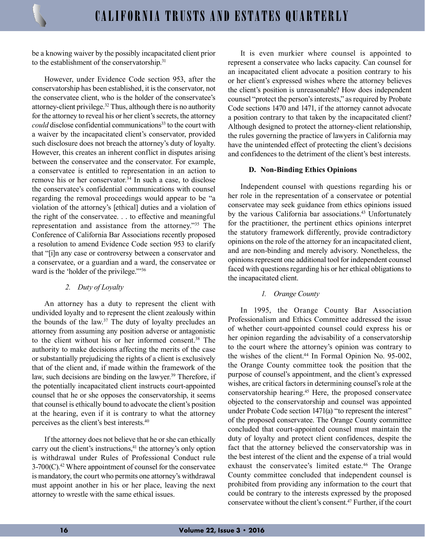be a knowing waiver by the possibly incapacitated client prior to the establishment of the conservatorship.<sup>31</sup>

However, under Evidence Code section 953, after the conservatorship has been established, it is the conservator, not the conservatee client, who is the holder of the conservatee's attorney-client privilege.32 Thus, although there is no authority for the attorney to reveal his or her client's secrets, the attorney *could* disclose confidential communications<sup>33</sup> to the court with a waiver by the incapacitated client's conservator, provided such disclosure does not breach the attorney's duty of loyalty. However, this creates an inherent conflict in disputes arising between the conservatee and the conservator. For example, a conservatee is entitled to representation in an action to remove his or her conservator. $34$  In such a case, to disclose the conservatee's confidential communications with counsel regarding the removal proceedings would appear to be "a violation of the attorney's [ethical] duties and a violation of the right of the conservatee. . . to effective and meaningful representation and assistance from the attorney."35 The Conference of California Bar Associations recently proposed a resolution to amend Evidence Code section 953 to clarify that "[i]n any case or controversy between a conservator and a conservatee, or a guardian and a ward, the conservatee or ward is the 'holder of the privilege.'"36

# *2. Duty of Loyalty*

An attorney has a duty to represent the client with undivided loyalty and to represent the client zealously within the bounds of the law.37 The duty of loyalty precludes an attorney from assuming any position adverse or antagonistic to the client without his or her informed consent.38 The authority to make decisions affecting the merits of the case or substantially prejudicing the rights of a client is exclusively that of the client and, if made within the framework of the law, such decisions are binding on the lawyer.<sup>39</sup> Therefore, if the potentially incapacitated client instructs court-appointed counsel that he or she opposes the conservatorship, it seems that counsel is ethically bound to advocate the client's position at the hearing, even if it is contrary to what the attorney perceives as the client's best interests.40

If the attorney does not believe that he or she can ethically carry out the client's instructions,<sup>41</sup> the attorney's only option is withdrawal under Rules of Professional Conduct rule  $3-700(C)$ .<sup>42</sup> Where appointment of counsel for the conservatee is mandatory, the court who permits one attorney's withdrawal must appoint another in his or her place, leaving the next attorney to wrestle with the same ethical issues.

It is even murkier where counsel is appointed to represent a conservatee who lacks capacity. Can counsel for an incapacitated client advocate a position contrary to his or her client's expressed wishes where the attorney believes the client's position is unreasonable? How does independent counsel "protect the person's interests," as required by Probate Code sections 1470 and 1471, if the attorney cannot advocate a position contrary to that taken by the incapacitated client? Although designed to protect the attorney-client relationship, the rules governing the practice of lawyers in California may have the unintended effect of protecting the client's decisions and confidences to the detriment of the client's best interests.

# **D. Non-Binding Ethics Opinions**

Independent counsel with questions regarding his or her role in the representation of a conservatee or potential conservatee may seek guidance from ethics opinions issued by the various California bar associations.<sup>43</sup> Unfortunately for the practitioner, the pertinent ethics opinions interpret the statutory framework differently, provide contradictory opinions on the role of the attorney for an incapacitated client, and are non-binding and merely advisory. Nonetheless, the opinions represent one additional tool for independent counsel faced with questions regarding his or her ethical obligations to the incapacitated client.

# *1. Orange County*

In 1995, the Orange County Bar Association Professionalism and Ethics Committee addressed the issue of whether court-appointed counsel could express his or her opinion regarding the advisability of a conservatorship to the court where the attorney's opinion was contrary to the wishes of the client.<sup>44</sup> In Formal Opinion No. 95-002, the Orange County committee took the position that the purpose of counsel's appointment, and the client's expressed wishes, are critical factors in determining counsel's role at the conservatorship hearing.45 Here, the proposed conservatee objected to the conservatorship and counsel was appointed under Probate Code section 1471(a) "to represent the interest" of the proposed conservatee. The Orange County committee concluded that court-appointed counsel must maintain the duty of loyalty and protect client confidences, despite the fact that the attorney believed the conservatorship was in the best interest of the client and the expense of a trial would exhaust the conservatee's limited estate.<sup>46</sup> The Orange County committee concluded that independent counsel is prohibited from providing any information to the court that could be contrary to the interests expressed by the proposed conservatee without the client's consent.47 Further, if the court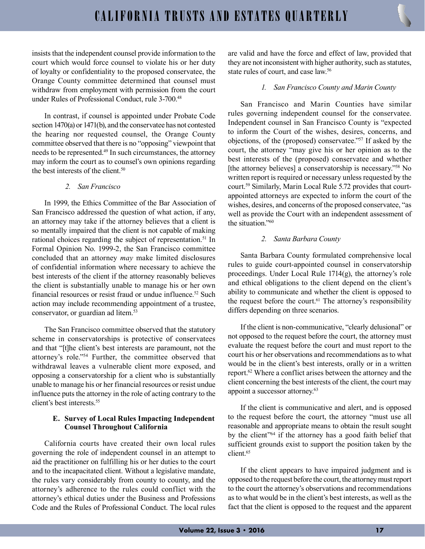insists that the independent counsel provide information to the court which would force counsel to violate his or her duty of loyalty or confidentiality to the proposed conservatee, the Orange County committee determined that counsel must withdraw from employment with permission from the court under Rules of Professional Conduct, rule 3-700.<sup>48</sup>

In contrast, if counsel is appointed under Probate Code section 1470(a) or 1471(b), and the conservatee has not contested the hearing nor requested counsel, the Orange County committee observed that there is no "opposing" viewpoint that needs to be represented.49 In such circumstances, the attorney may inform the court as to counsel's own opinions regarding the best interests of the client.<sup>50</sup>

# *2. San Francisco*

In 1999, the Ethics Committee of the Bar Association of San Francisco addressed the question of what action, if any, an attorney may take if the attorney believes that a client is so mentally impaired that the client is not capable of making rational choices regarding the subject of representation.<sup>51</sup> In Formal Opinion No. 1999-2, the San Francisco committee concluded that an attorney *may* make limited disclosures of confidential information where necessary to achieve the best interests of the client if the attorney reasonably believes the client is substantially unable to manage his or her own financial resources or resist fraud or undue influence.<sup>52</sup> Such action may include recommending appointment of a trustee, conservator, or guardian ad litem.<sup>53</sup>

The San Francisco committee observed that the statutory scheme in conservatorships is protective of conservatees and that "[t]he client's best interests are paramount, not the attorney's role."54 Further, the committee observed that withdrawal leaves a vulnerable client more exposed, and opposing a conservatorship for a client who is substantially unable to manage his or her financial resources or resist undue influence puts the attorney in the role of acting contrary to the client's best interests.55

#### **E. Survey of Local Rules Impacting Independent Counsel Throughout California**

California courts have created their own local rules governing the role of independent counsel in an attempt to aid the practitioner on fulfilling his or her duties to the court and to the incapacitated client. Without a legislative mandate, the rules vary considerably from county to county, and the attorney's adherence to the rules could conflict with the attorney's ethical duties under the Business and Professions Code and the Rules of Professional Conduct. The local rules

are valid and have the force and effect of law, provided that they are not inconsistent with higher authority, such as statutes, state rules of court, and case law.56

#### *1. San Francisco County and Marin County*

San Francisco and Marin Counties have similar rules governing independent counsel for the conservatee. Independent counsel in San Francisco County is "expected to inform the Court of the wishes, desires, concerns, and objections, of the (proposed) conservatee."57 If asked by the court, the attorney "may give his or her opinion as to the best interests of the (proposed) conservatee and whether [the attorney believes] a conservatorship is necessary."<sup>58</sup> No written report is required or necessary unless requested by the court.59 Similarly, Marin Local Rule 5.72 provides that courtappointed attorneys are expected to inform the court of the wishes, desires, and concerns of the proposed conservatee, "as well as provide the Court with an independent assessment of the situation."<sup>60</sup>

#### *2. Santa Barbara County*

Santa Barbara County formulated comprehensive local rules to guide court-appointed counsel in conservatorship proceedings. Under Local Rule 1714(g), the attorney's role and ethical obligations to the client depend on the client's ability to communicate and whether the client is opposed to the request before the court. $61$  The attorney's responsibility differs depending on three scenarios.

If the client is non-communicative, "clearly delusional" or not opposed to the request before the court, the attorney must evaluate the request before the court and must report to the court his or her observations and recommendations as to what would be in the client's best interests, orally or in a written report.62 Where a conflict arises between the attorney and the client concerning the best interests of the client, the court may appoint a successor attorney.63

If the client is communicative and alert, and is opposed to the request before the court, the attorney "must use all reasonable and appropriate means to obtain the result sought by the client<sup>"64</sup> if the attorney has a good faith belief that sufficient grounds exist to support the position taken by the client.65

If the client appears to have impaired judgment and is opposed to the request before the court, the attorney must report to the court the attorney's observations and recommendations as to what would be in the client's best interests, as well as the fact that the client is opposed to the request and the apparent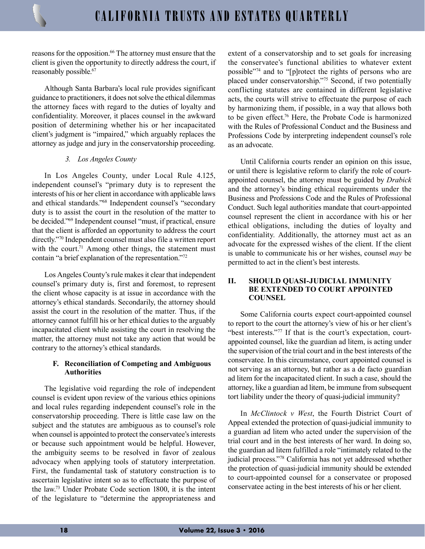reasons for the opposition.<sup>66</sup> The attorney must ensure that the client is given the opportunity to directly address the court, if reasonably possible.<sup>67</sup>

Although Santa Barbara's local rule provides significant guidance to practitioners, it does not solve the ethical dilemmas the attorney faces with regard to the duties of loyalty and confidentiality. Moreover, it places counsel in the awkward position of determining whether his or her incapacitated client's judgment is "impaired," which arguably replaces the attorney as judge and jury in the conservatorship proceeding.

#### *3. Los Angeles County*

In Los Angeles County, under Local Rule 4.125, independent counsel's "primary duty is to represent the interests of his or her client in accordance with applicable laws and ethical standards."68 Independent counsel's "secondary duty is to assist the court in the resolution of the matter to be decided."69 Independent counsel "must, if practical, ensure that the client is afforded an opportunity to address the court directly."70 Independent counsel must also file a written report with the court. $71$  Among other things, the statement must contain "a brief explanation of the representation."72

Los Angeles County's rule makes it clear that independent counsel's primary duty is, first and foremost, to represent the client whose capacity is at issue in accordance with the attorney's ethical standards. Secondarily, the attorney should assist the court in the resolution of the matter. Thus, if the attorney cannot fulfill his or her ethical duties to the arguably incapacitated client while assisting the court in resolving the matter, the attorney must not take any action that would be contrary to the attorney's ethical standards.

# **F. Reconciliation of Competing and Ambiguous Authorities**

The legislative void regarding the role of independent counsel is evident upon review of the various ethics opinions and local rules regarding independent counsel's role in the conservatorship proceeding. There is little case law on the subject and the statutes are ambiguous as to counsel's role when counsel is appointed to protect the conservatee's interests or because such appointment would be helpful. However, the ambiguity seems to be resolved in favor of zealous advocacy when applying tools of statutory interpretation. First, the fundamental task of statutory construction is to ascertain legislative intent so as to effectuate the purpose of the law.73 Under Probate Code section 1800, it is the intent of the legislature to "determine the appropriateness and

extent of a conservatorship and to set goals for increasing the conservatee's functional abilities to whatever extent possible"74 and to "[p]rotect the rights of persons who are placed under conservatorship."75 Second, if two potentially conflicting statutes are contained in different legislative acts, the courts will strive to effectuate the purpose of each by harmonizing them, if possible, in a way that allows both to be given effect.76 Here, the Probate Code is harmonized with the Rules of Professional Conduct and the Business and Professions Code by interpreting independent counsel's role as an advocate.

Until California courts render an opinion on this issue, or until there is legislative reform to clarify the role of courtappointed counsel, the attorney must be guided by *Drabick* and the attorney's binding ethical requirements under the Business and Professions Code and the Rules of Professional Conduct. Such legal authorities mandate that court-appointed counsel represent the client in accordance with his or her ethical obligations, including the duties of loyalty and confidentiality. Additionally, the attorney must act as an advocate for the expressed wishes of the client. If the client is unable to communicate his or her wishes, counsel *may* be permitted to act in the client's best interests.

#### **II. SHOULD QUASI-JUDICIAL IMMUNITY BE EXTENDED TO COURT APPOINTED COUNSEL**

Some California courts expect court-appointed counsel to report to the court the attorney's view of his or her client's "best interests."<sup>77</sup> If that is the court's expectation, courtappointed counsel, like the guardian ad litem, is acting under the supervision of the trial court and in the best interests of the conservatee. In this circumstance, court appointed counsel is not serving as an attorney, but rather as a de facto guardian ad litem for the incapacitated client. In such a case, should the attorney, like a guardian ad litem, be immune from subsequent tort liability under the theory of quasi-judicial immunity?

In *McClintock v West*, the Fourth District Court of Appeal extended the protection of quasi-judicial immunity to a guardian ad litem who acted under the supervision of the trial court and in the best interests of her ward. In doing so, the guardian ad litem fulfilled a role "intimately related to the judicial process."78 California has not yet addressed whether the protection of quasi-judicial immunity should be extended to court-appointed counsel for a conservatee or proposed conservatee acting in the best interests of his or her client.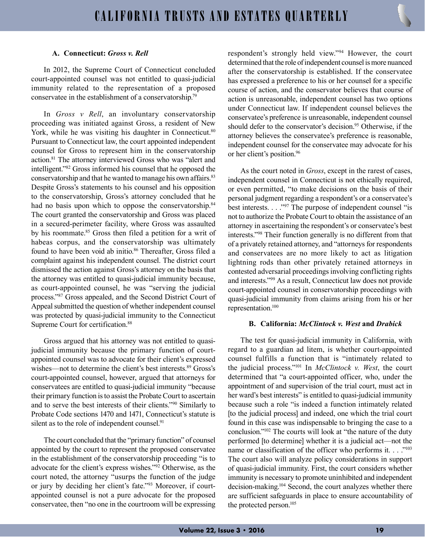# **A. Connecticut:** *Gross v. Rell*

In 2012, the Supreme Court of Connecticut concluded court-appointed counsel was not entitled to quasi-judicial immunity related to the representation of a proposed conservatee in the establishment of a conservatorship.79

In *Gross v Rell*, an involuntary conservatorship proceeding was initiated against Gross, a resident of New York, while he was visiting his daughter in Connecticut.<sup>80</sup> Pursuant to Connecticut law, the court appointed independent counsel for Gross to represent him in the conservatorship action.81 The attorney interviewed Gross who was "alert and intelligent."82 Gross informed his counsel that he opposed the conservatorship and that he wanted to manage his own affairs.<sup>83</sup> Despite Gross's statements to his counsel and his opposition to the conservatorship, Gross's attorney concluded that he had no basis upon which to oppose the conservatorship.<sup>84</sup> The court granted the conservatorship and Gross was placed in a secured-perimeter facility, where Gross was assaulted by his roommate.<sup>85</sup> Gross then filed a petition for a writ of habeas corpus, and the conservatorship was ultimately found to have been void ab initio.<sup>86</sup> Thereafter, Gross filed a complaint against his independent counsel. The district court dismissed the action against Gross's attorney on the basis that the attorney was entitled to quasi-judicial immunity because, as court-appointed counsel, he was "serving the judicial process."87 Gross appealed, and the Second District Court of Appeal submitted the question of whether independent counsel was protected by quasi-judicial immunity to the Connecticut Supreme Court for certification.<sup>88</sup>

Gross argued that his attorney was not entitled to quasijudicial immunity because the primary function of courtappointed counsel was to advocate for their client's expressed wishes—not to determine the client's best interests.<sup>89</sup> Gross's court-appointed counsel, however, argued that attorneys for conservatees are entitled to quasi-judicial immunity "because their primary function is to assist the Probate Court to ascertain and to serve the best interests of their clients."90 Similarly to Probate Code sections 1470 and 1471, Connecticut's statute is silent as to the role of independent counsel.<sup>91</sup>

The court concluded that the "primary function" of counsel appointed by the court to represent the proposed conservatee in the establishment of the conservatorship proceeding "is to advocate for the client's express wishes."92 Otherwise, as the court noted, the attorney "usurps the function of the judge or jury by deciding her client's fate."93 Moreover, if courtappointed counsel is not a pure advocate for the proposed conservatee, then "no one in the courtroom will be expressing respondent's strongly held view."94 However, the court determined that the role of independent counsel is more nuanced after the conservatorship is established. If the conservatee has expressed a preference to his or her counsel for a specific course of action, and the conservator believes that course of action is unreasonable, independent counsel has two options under Connecticut law. If independent counsel believes the conservatee's preference is unreasonable, independent counsel should defer to the conservator's decision.<sup>95</sup> Otherwise, if the attorney believes the conservatee's preference is reasonable, independent counsel for the conservatee may advocate for his or her client's position.96

As the court noted in *Gross*, except in the rarest of cases, independent counsel in Connecticut is not ethically required, or even permitted, "to make decisions on the basis of their personal judgment regarding a respondent's or a conservatee's best interests. . . . "97 The purpose of independent counsel "is not to authorize the Probate Court to obtain the assistance of an attorney in ascertaining the respondent's or conservatee's best interests."98 Their function generally is no different from that of a privately retained attorney, and "attorneys for respondents and conservatees are no more likely to act as litigation lightning rods than other privately retained attorneys in contested adversarial proceedings involving conflicting rights and interests."99 As a result, Connecticut law does not provide court-appointed counsel in conservatorship proceedings with quasi-judicial immunity from claims arising from his or her representation.100

#### **B. California:** *McClintock v. West* **and** *Drabick*

The test for quasi-judicial immunity in California, with regard to a guardian ad litem, is whether court-appointed counsel fulfills a function that is "intimately related to the judicial process."101 In *McClintock v. West*, the court determined that "a court-appointed officer, who, under the appointment of and supervision of the trial court, must act in her ward's best interests" is entitled to quasi-judicial immunity because such a role "is indeed a function intimately related [to the judicial process] and indeed, one which the trial court found in this case was indispensable to bringing the case to a conclusion."102 The courts will look at "the nature of the duty performed [to determine] whether it is a judicial act—not the name or classification of the officer who performs it. . . . "<sup>103</sup> The court also will analyze policy considerations in support of quasi-judicial immunity. First, the court considers whether immunity is necessary to promote uninhibited and independent decision-making.<sup>104</sup> Second, the court analyzes whether there are sufficient safeguards in place to ensure accountability of the protected person.<sup>105</sup>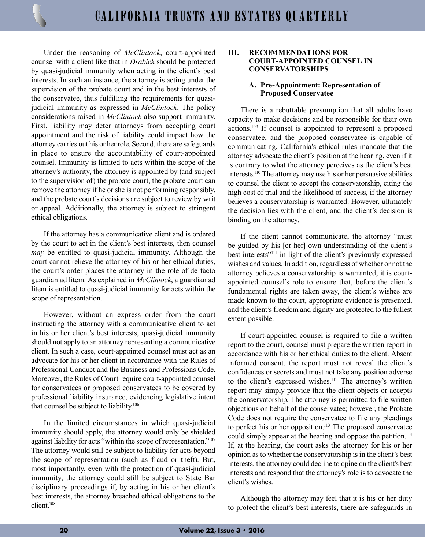Under the reasoning of *McClintock*, court-appointed counsel with a client like that in *Drabick* should be protected by quasi-judicial immunity when acting in the client's best interests. In such an instance, the attorney is acting under the supervision of the probate court and in the best interests of the conservatee, thus fulfilling the requirements for quasijudicial immunity as expressed in *McClintock*. The policy considerations raised in *McClintock* also support immunity. First, liability may deter attorneys from accepting court appointment and the risk of liability could impact how the attorney carries out his or her role. Second, there are safeguards in place to ensure the accountability of court-appointed counsel. Immunity is limited to acts within the scope of the attorney's authority, the attorney is appointed by (and subject to the supervision of) the probate court, the probate court can remove the attorney if he or she is not performing responsibly, and the probate court's decisions are subject to review by writ or appeal. Additionally, the attorney is subject to stringent ethical obligations.

If the attorney has a communicative client and is ordered by the court to act in the client's best interests, then counsel *may* be entitled to quasi-judicial immunity. Although the court cannot relieve the attorney of his or her ethical duties, the court's order places the attorney in the role of de facto guardian ad litem. As explained in *McClintock*, a guardian ad litem is entitled to quasi-judicial immunity for acts within the scope of representation.

However, without an express order from the court instructing the attorney with a communicative client to act in his or her client's best interests, quasi-judicial immunity should not apply to an attorney representing a communicative client. In such a case, court-appointed counsel must act as an advocate for his or her client in accordance with the Rules of Professional Conduct and the Business and Professions Code. Moreover, the Rules of Court require court-appointed counsel for conservatees or proposed conservatees to be covered by professional liability insurance, evidencing legislative intent that counsel be subject to liability.106

In the limited circumstances in which quasi-judicial immunity should apply, the attorney would only be shielded against liability for acts "within the scope of representation."107 The attorney would still be subject to liability for acts beyond the scope of representation (such as fraud or theft). But, most importantly, even with the protection of quasi-judicial immunity, the attorney could still be subject to State Bar disciplinary proceedings if, by acting in his or her client's best interests, the attorney breached ethical obligations to the client.108

#### **III. RECOMMENDATIONS FOR COURT-APPOINTED COUNSEL IN CONSERVATORSHIPS**

#### **A. Pre-Appointment: Representation of Proposed Conservatee**

There is a rebuttable presumption that all adults have capacity to make decisions and be responsible for their own actions.109 If counsel is appointed to represent a proposed conservatee, and the proposed conservatee is capable of communicating, California's ethical rules mandate that the attorney advocate the client's position at the hearing, even if it is contrary to what the attorney perceives as the client's best interests.110 The attorney may use his or her persuasive abilities to counsel the client to accept the conservatorship, citing the high cost of trial and the likelihood of success, if the attorney believes a conservatorship is warranted. However, ultimately the decision lies with the client, and the client's decision is binding on the attorney.

If the client cannot communicate, the attorney "must be guided by his [or her] own understanding of the client's best interests"111 in light of the client's previously expressed wishes and values. In addition, regardless of whether or not the attorney believes a conservatorship is warranted, it is courtappointed counsel's role to ensure that, before the client's fundamental rights are taken away, the client's wishes are made known to the court, appropriate evidence is presented, and the client's freedom and dignity are protected to the fullest extent possible.

If court-appointed counsel is required to file a written report to the court, counsel must prepare the written report in accordance with his or her ethical duties to the client. Absent informed consent, the report must not reveal the client's confidences or secrets and must not take any position adverse to the client's expressed wishes.<sup>112</sup> The attorney's written report may simply provide that the client objects or accepts the conservatorship. The attorney is permitted to file written objections on behalf of the conservatee; however, the Probate Code does not require the conservatee to file any pleadings to perfect his or her opposition.<sup>113</sup> The proposed conservatee could simply appear at the hearing and oppose the petition.<sup>114</sup> If, at the hearing, the court asks the attorney for his or her opinion as to whether the conservatorship is in the client's best interests, the attorney could decline to opine on the client's best interests and respond that the attorney's role is to advocate the client's wishes.

Although the attorney may feel that it is his or her duty to protect the client's best interests, there are safeguards in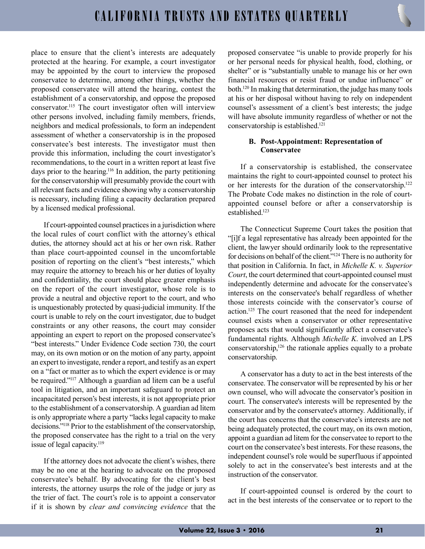place to ensure that the client's interests are adequately protected at the hearing. For example, a court investigator may be appointed by the court to interview the proposed conservatee to determine, among other things, whether the proposed conservatee will attend the hearing, contest the establishment of a conservatorship, and oppose the proposed conservator.115 The court investigator often will interview other persons involved, including family members, friends, neighbors and medical professionals, to form an independent assessment of whether a conservatorship is in the proposed conservatee's best interests. The investigator must then provide this information, including the court investigator's recommendations, to the court in a written report at least five days prior to the hearing.116 In addition, the party petitioning for the conservatorship will presumably provide the court with all relevant facts and evidence showing why a conservatorship is necessary, including filing a capacity declaration prepared by a licensed medical professional.

If court-appointed counsel practices in a jurisdiction where the local rules of court conflict with the attorney's ethical duties, the attorney should act at his or her own risk. Rather than place court-appointed counsel in the uncomfortable position of reporting on the client's "best interests," which may require the attorney to breach his or her duties of loyalty and confidentiality, the court should place greater emphasis on the report of the court investigator, whose role is to provide a neutral and objective report to the court, and who is unquestionably protected by quasi-judicial immunity. If the court is unable to rely on the court investigator, due to budget constraints or any other reasons, the court may consider appointing an expert to report on the proposed conservatee's "best interests." Under Evidence Code section 730, the court may, on its own motion or on the motion of any party, appoint an expert to investigate, render a report, and testify as an expert on a "fact or matter as to which the expert evidence is or may be required."117 Although a guardian ad litem can be a useful tool in litigation, and an important safeguard to protect an incapacitated person's best interests, it is not appropriate prior to the establishment of a conservatorship. A guardian ad litem is only appropriate where a party "lacks legal capacity to make decisions."118 Prior to the establishment of the conservatorship, the proposed conservatee has the right to a trial on the very issue of legal capacity. $119$ 

If the attorney does not advocate the client's wishes, there may be no one at the hearing to advocate on the proposed conservatee's behalf. By advocating for the client's best interests, the attorney usurps the role of the judge or jury as the trier of fact. The court's role is to appoint a conservator if it is shown by *clear and convincing evidence* that the proposed conservatee "is unable to provide properly for his or her personal needs for physical health, food, clothing, or shelter" or is "substantially unable to manage his or her own financial resources or resist fraud or undue influence" or both.<sup>120</sup> In making that determination, the judge has many tools at his or her disposal without having to rely on independent counsel's assessment of a client's best interests; the judge will have absolute immunity regardless of whether or not the conservatorship is established.<sup>121</sup>

# **B. Post-Appointment: Representation of Conservatee**

If a conservatorship is established, the conservatee maintains the right to court-appointed counsel to protect his or her interests for the duration of the conservatorship.122 The Probate Code makes no distinction in the role of courtappointed counsel before or after a conservatorship is established.123

The Connecticut Supreme Court takes the position that "[i]f a legal representative has already been appointed for the client, the lawyer should ordinarily look to the representative for decisions on behalf of the client."124 There is no authority for that position in California. In fact, in *Michelle K. v. Superior Court*, the court determined that court-appointed counsel must independently determine and advocate for the conservatee's interests on the conservatee's behalf regardless of whether those interests coincide with the conservator's course of action.125 The court reasoned that the need for independent counsel exists when a conservator or other representative proposes acts that would significantly affect a conservatee's fundamental rights. Although *Michelle K*. involved an LPS conservatorship,126 the rationale applies equally to a probate conservatorship.

A conservator has a duty to act in the best interests of the conservatee. The conservator will be represented by his or her own counsel, who will advocate the conservator's position in court. The conservatee's interests will be represented by the conservator and by the conservatee's attorney. Additionally, if the court has concerns that the conservatee's interests are not being adequately protected, the court may, on its own motion, appoint a guardian ad litem for the conservatee to report to the court on the conservatee's best interests. For these reasons, the independent counsel's role would be superfluous if appointed solely to act in the conservatee's best interests and at the instruction of the conservator.

If court-appointed counsel is ordered by the court to act in the best interests of the conservatee or to report to the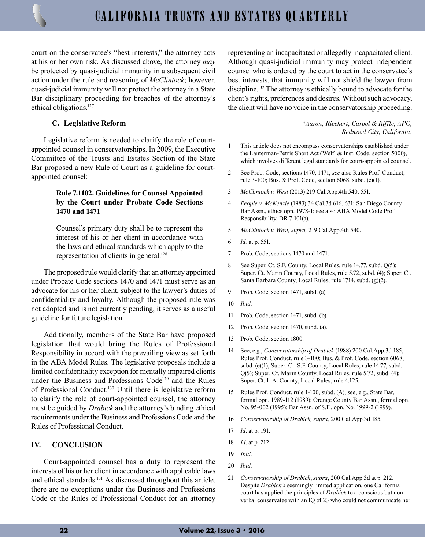court on the conservatee's "best interests," the attorney acts at his or her own risk. As discussed above, the attorney *may* be protected by quasi-judicial immunity in a subsequent civil action under the rule and reasoning of *McClintock*; however, quasi-judicial immunity will not protect the attorney in a State Bar disciplinary proceeding for breaches of the attorney's ethical obligations.<sup>127</sup>

#### **C. Legislative Reform**

Legislative reform is needed to clarify the role of courtappointed counsel in conservatorships. In 2009, the Executive Committee of the Trusts and Estates Section of the State Bar proposed a new Rule of Court as a guideline for courtappointed counsel:

# **Rule 7.1102. Guidelines for Counsel Appointed by the Court under Probate Code Sections 1470 and 1471**

Counsel's primary duty shall be to represent the interest of his or her client in accordance with the laws and ethical standards which apply to the representation of clients in general.<sup>128</sup>

The proposed rule would clarify that an attorney appointed under Probate Code sections 1470 and 1471 must serve as an advocate for his or her client, subject to the lawyer's duties of confidentiality and loyalty. Although the proposed rule was not adopted and is not currently pending, it serves as a useful guideline for future legislation.

Additionally, members of the State Bar have proposed legislation that would bring the Rules of Professional Responsibility in accord with the prevailing view as set forth in the ABA Model Rules. The legislative proposals include a limited confidentiality exception for mentally impaired clients under the Business and Professions Code<sup>129</sup> and the Rules of Professional Conduct.130 Until there is legislative reform to clarify the role of court-appointed counsel, the attorney must be guided by *Drabick* and the attorney's binding ethical requirements under the Business and Professions Code and the Rules of Professional Conduct.

# **IV. CONCLUSION**

Court-appointed counsel has a duty to represent the interests of his or her client in accordance with applicable laws and ethical standards.<sup>131</sup> As discussed throughout this article, there are no exceptions under the Business and Professions Code or the Rules of Professional Conduct for an attorney representing an incapacitated or allegedly incapacitated client. Although quasi-judicial immunity may protect independent counsel who is ordered by the court to act in the conservatee's best interests, that immunity will not shield the lawyer from discipline.<sup>132</sup> The attorney is ethically bound to advocate for the client's rights, preferences and desires. Without such advocacy, the client will have no voice in the conservatorship proceeding.

> *\*Aaron, Riechert, Carpol & Riffle, APC, Redwood City, California.*

- 1 This article does not encompass conservatorships established under the Lanterman-Petris Short Act (Welf. & Inst. Code, section 5000), which involves different legal standards for court-appointed counsel.
- 2 See Prob. Code, sections 1470, 1471; *see* also Rules Prof. Conduct, rule 3-100; Bus. & Prof. Code, section 6068, subd. (e)(1).
- 3 *McClintock v. West* (2013) 219 Cal.App.4th 540, 551.
- 4 *People v. McKenzie* (1983) 34 Cal.3d 616, 631; San Diego County Bar Assn., ethics opn. 1978-1; see also ABA Model Code Prof. Responsibility, DR 7-101(a).
- 5 *McClintock v. West, supra,* 219 Cal.App.4th 540.
- 6 *Id.* at p. 551.
- 7 Prob. Code, sections 1470 and 1471.
- 8 See Super. Ct. S.F. County, Local Rules, rule 14.77, subd. Q(5); Super. Ct. Marin County, Local Rules, rule 5.72, subd. (4); Super. Ct. Santa Barbara County, Local Rules, rule 1714, subd. (g)(2).
- 9 Prob. Code, section 1471, subd. (a).
- 10 *Ibid*.
- 11 Prob. Code, section 1471, subd. (b).
- 12 Prob. Code, section 1470, subd. (a).
- 13 Prob. Code, section 1800.
- 14 See, e.g., *Conservatorship of Drabick* (1988) 200 Cal.App.3d 185; Rules Prof. Conduct, rule 3-100; Bus. & Prof. Code, section 6068, subd. (e)(1); Super. Ct. S.F. County, Local Rules, rule 14.77, subd. Q(5); Super. Ct. Marin County, Local Rules, rule 5.72, subd. (4); Super. Ct. L.A. County, Local Rules, rule 4.125.
- 15 Rules Prof. Conduct, rule 1-100, subd. (A); see, e.g., State Bar, formal opn. 1989-112 (1989); Orange County Bar Assn., formal opn. No. 95-002 (1995); Bar Assn. of S.F., opn. No. 1999-2 (1999).
- 16 *Conservatorship of Drabick, supra,* 200 Cal.App.3d 185.
- 17 *Id*. at p. 191.
- 18 *Id*. at p. 212.
- 19 *Ibid*.
- 20 *Ibid*.
- 21 *Conservatorship of Drabick*, *supra*, 200 Cal.App.3d at p. 212. Despite *Drabick's* seemingly limited application, one California court has applied the principles of *Drabick* to a conscious but nonverbal conservatee with an IQ of 23 who could not communicate her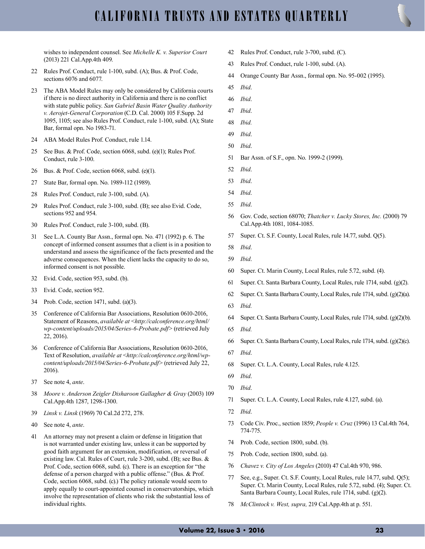wishes to independent counsel. See *Michelle K. v. Superior Court* (2013) 221 Cal.App.4th 409.

- Rules Prof. Conduct, rule 1-100, subd. (A); Bus. & Prof. Code, sections 6076 and 6077.
- The ABA Model Rules may only be considered by California courts if there is no direct authority in California and there is no conflict with state public policy. *[San Gabriel Basin Water Quality Authority](https://advance.lexis.com/document/documentlink/?pdmfid=1000516&crid=76bbc055-055b-42bf-9c8c-45e40d84bfc1&pddocfullpath=%2Fshared%2Fdocument%2Fanalytical-materials%2Furn%3AcontentItem%3A51PY-YCW0-R03M-42RB-00000-00&pdcontentcomponentid=161649&pddoctitle=Governing+Law&ecomp=-9pfk&prid=46fb0698-d19d-45fe-88de-4223a86df04e)  [v. Aerojet-General Corporation](https://advance.lexis.com/document/documentlink/?pdmfid=1000516&crid=76bbc055-055b-42bf-9c8c-45e40d84bfc1&pddocfullpath=%2Fshared%2Fdocument%2Fanalytical-materials%2Furn%3AcontentItem%3A51PY-YCW0-R03M-42RB-00000-00&pdcontentcomponentid=161649&pddoctitle=Governing+Law&ecomp=-9pfk&prid=46fb0698-d19d-45fe-88de-4223a86df04e)* (C.D. Cal. 2000) 105 F.Supp. 2d [1095, 1105;](https://advance.lexis.com/document/documentlink/?pdmfid=1000516&crid=76bbc055-055b-42bf-9c8c-45e40d84bfc1&pddocfullpath=%2Fshared%2Fdocument%2Fanalytical-materials%2Furn%3AcontentItem%3A51PY-YCW0-R03M-42RB-00000-00&pdcontentcomponentid=161649&pddoctitle=Governing+Law&ecomp=-9pfk&prid=46fb0698-d19d-45fe-88de-4223a86df04e) see also [Rules Prof. Conduct, rule 1-100, subd. \(A\)](https://advance.lexis.com/document/documentlink/?pdmfid=1000516&crid=76bbc055-055b-42bf-9c8c-45e40d84bfc1&pddocfullpath=%2Fshared%2Fdocument%2Fanalytical-materials%2Furn%3AcontentItem%3A51PY-YCW0-R03M-42RB-00000-00&pdcontentcomponentid=161649&pddoctitle=Governing+Law&ecomp=-9pfk&prid=46fb0698-d19d-45fe-88de-4223a86df04e); State Bar, formal opn. No 1983-71.
- ABA Model Rules Prof. Conduct, rule 1.14.
- See Bus. & Prof. Code, section 6068, subd. (e)(1); Rules Prof. Conduct, rule 3-100.
- Bus. & Prof. Code, section 6068, subd. (e)(1).
- State Bar, formal opn. No. 1989-112 (1989).
- Rules Prof. Conduct, rule 3-100, subd. (A).
- Rules Prof. Conduct, rule 3-100, subd. (B); see also Evid. Code, sections 952 and 954.
- Rules Prof. Conduct, rule 3-100, subd. (B).
- See L.A. County Bar Assn., formal opn. No. 471 (1992) p. 6. The concept of informed consent assumes that a client is in a position to understand and assess the significance of the facts presented and the adverse consequences. When the client lacks the capacity to do so, informed consent is not possible.
- Evid. Code, section 953, subd. (b).
- Evid. Code, section 952.
- Prob. Code, section 1471, subd. (a)(3).
- Conference of California Bar Associations, Resolution 0610-2016, Statement of Reasons, *available at* <*[http://calconference.org/html/](http://calconference.org/html/wp-content/uploads/2015/04/Series-6-Probate.pdf) [wp-content/uploads/2015/04/Series-6-Probate.pdf](http://calconference.org/html/wp-content/uploads/2015/04/Series-6-Probate.pdf)*> (retrieved July 22, 2016).
- Conference of California Bar Associations, Resolution 0610-2016, Text of Resolution, *available at* <*[http://calconference.org/html/wp](http://calconference.org/html/wp-content/uploads/2015/04/Series-6-Probate.pdf)[content/uploads/2015/04/Series-6-Probate.pdf](http://calconference.org/html/wp-content/uploads/2015/04/Series-6-Probate.pdf)*> (retrieved July 22, 2016).
- See note 4, *ante*.
- *Moore v. Anderson Zeigler Disharoon Gallagher & Gray* (2003) 109 Cal.App.4th 1287, 1298-1300.
- *Linsk v. Linsk* (1969) 70 Cal.2d 272, 278.
- See note 4, *ante*.
- An attorney may not present a claim or defense in litigation that is not warranted under existing law, unless it can be supported by good faith argument for an extension, modification, or reversal of existing law. Cal. Rules of Court, rule 3-200, subd. (B); see Bus. & Prof. Code, section 6068, subd. (c). There is an exception for "the defense of a person charged with a public offense." (Bus. & Prof. Code, section 6068, subd. (c).) The policy rationale would seem to apply equally to court-appointed counsel in conservatorships, which involve the representation of clients who risk the substantial loss of individual rights.
- Rules Prof. Conduct, rule 3-700, subd. (C).
- Rules Prof. Conduct, rule 1-100, subd. (A).
- Orange County Bar Assn., formal opn. No. 95-002 (1995).
- *Ibid*.
- *Ibid*.
- *Ibid*.
- *Ibid.*
- *Ibid*.
- *Ibid*.
- Bar Assn. of S.F., opn. No. 1999-2 (1999).
- *Ibid*.
- *Ibid*.
- *Ibid*.
- *Ibid*.
- Gov. Code, section 68070; *Thatcher v. Lucky Stores, Inc.* (2000) 79 Cal.App.4th 1081, 1084-1085.
- Super. Ct. S.F. County, Local Rules, rule 14.77, subd. Q(5).
- *Ibid*.
- *Ibid*.
- Super. Ct. Marin County, Local Rules, rule 5.72, subd. (4).
- Super. Ct. Santa Barbara County, Local Rules, rule 1714, subd. (g)(2).
- Super. Ct. Santa Barbara County, Local Rules, rule 1714, subd. (g)(2)(a).
- *Ibid.*
- Super. Ct. Santa Barbara County, Local Rules, rule 1714, subd. (g)(2)(b).
- *Ibid.*
- Super. Ct. Santa Barbara County, Local Rules, rule 1714, subd. (g)(2)(c).
- *Ibid*.
- Super. Ct. L.A. County, Local Rules, rule 4.125.
- *Ibid*.
- *Ibid*.
- Super. Ct. L.A. County, Local Rules, rule 4.127, subd. (a).
- *Ibid*.
- Code Civ. Proc., section 1859; *People v. Cruz* (1996) 13 Cal.4th 764, 774-775.
- Prob. Code, section 1800, subd. (b).
- Prob. Code, section 1800, subd. (a).
- *Chavez v. City of Los Angeles* (2010) 47 Cal.4th 970, 986.
- See, e.g., Super. Ct. S.F. County, Local Rules, rule 14.77, subd. Q(5); Super. Ct. Marin County, Local Rules, rule 5.72, subd. (4); Super. Ct. Santa Barbara County, Local Rules, rule 1714, subd. (g)(2).
- *McClintock v. West, supra,* 219 Cal.App.4th at p. 551.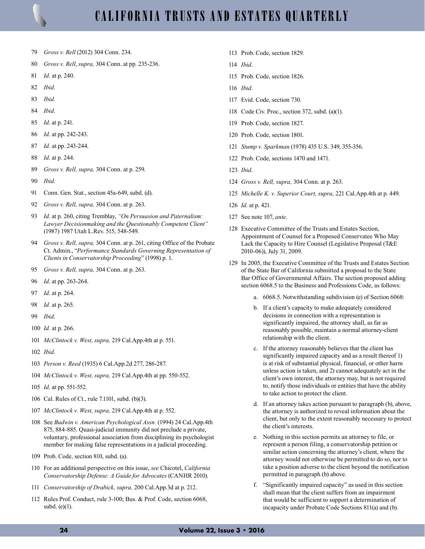

- 79 *Gross v. Rell* (2012) 304 Conn. 234.
- 80 *Gross v. Rell*, *supra,* 304 Conn. at pp. 235-236.
- 81 *Id.* at p. 240.
- 82 *Ibid*.
- 83 *Ibid*.
- 84 *Ibid*.
- 85 *Id*. at p. 241.
- 86 *Id*. at pp. 242-243.
- 87 *Id.* at pp. 243-244.
- 88 *Id*. at p. 244.
- 89 *Gross v. Rell, supra,* 304 Conn. at p. 259.
- 90 *Ibid*.
- 91 Conn. Gen. Stat., section 45a-649, subd. (d).
- 92 *Gross v. Rell, supra,* 304 Conn. at p. 263.
- 93 *Id*. at p. 260, citing Tremblay, *"On Persuasion and Paternalism: Lawyer Decisionmaking and the Questionably Competent Client"* (1987) 1987 Utah L.Rev. 515, 548-549.
- 94 *Gross v. Rell, supra,* 304 Conn. at p. 261, citing Office of the Probate Ct. Admin., "*Performance Standards Governing Representation of Clients in Conservatorship Proceeding*" (1998) p. 1.
- 95 *Gross v. Rell, supra,* 304 Conn. at p. 263.
- 96 *Id*. at pp. 263-264.
- 97 *Id.* at p. 264.
- 98 *Id.* at p. 265.
- 99 *Ibid*.
- 100 *Id.* at p. 266.
- 101 *McClintock v. West, supra,* 219 Cal.App.4th at p. 551.
- 102 *Ibid*.
- 103 *Person v. Reed* (1935) 6 Cal.App.2d 277, 286-287.
- 104 *McClintock v. West, supra,* 219 Cal.App.4th at pp. 550-552.
- 105 *Id*. at pp. 551-552.
- 106 Cal. Rules of Ct., rule 7.1101, subd. (b)(3).
- 107 *McClintock v. West, supra,* 219 Cal.App.4th at p. 552.
- 108 See *Budwin v. American Psychological Assn.* (1994) 24 Cal.App.4th 875, 884-885. Quasi-judicial immunity did not preclude a private, voluntary, professional association from disciplining its psychologist member for making false representations in a judicial proceeding.
- 109 Prob. Code, section 810, subd. (a).
- 110 For an additional perspective on this issue, *see* Chicotel, *California Conservatorship Defense: A Guide for Advocates* (CANHR 2010).
- 111 *Conservatorship of Drabick, supra,* 200 Cal.App.3d at p. 212.
- 112 Rules Prof. Conduct, rule 3-100; Bus. & Prof. Code, section 6068, subd. (e)(1).
- 113 Prob. Code, section 1829.
- 114 *Ibid*.
- 115 Prob. Code, section 1826.
- 116 *Ibid*.
- 117 Evid. Code, section 730.
- 118 Code Civ. Proc., section 372, subd. (a)(1).
- 119 Prob. Code, section 1827.
- 120 Prob. Code, section 1801.
- 121 *Stump v. Sparkman* (1978) 435 U.S. 349, 355-356.
- 122 Prob. Code, sections 1470 and 1471.
- 123 *Ibid*.
- 124 *Gross v. Rell, supra,* 304 Conn. at p. 263.
- 125 *Michelle K. v. Superior Court, supra,* 221 Cal.App.4th at p. 449.
- 126 *Id*. at p. 421.
- 127 See note 107, *ante*.
- 128 Executive Committee of the Trusts and Estates Section, Appointment of Counsel for a Proposed Conservatee Who May Lack the Capacity to Hire Counsel (Legislative Proposal (T&E 2010-06)), July 31, 2009.
- 129 In 2005, the Executive Committee of the Trusts and Estates Section of the State Bar of California submitted a proposal to the State Bar Office of Governmental Affairs. The section proposed adding section 6068.5 to the Business and Professions Code, as follows:
	- a. 6068.5. Notwithstanding subdivision (e) of Section 6068:
	- b. If a client's capacity to make adequately considered decisions in connection with a representation is significantly impaired, the attorney shall, as far as reasonably possible, maintain a normal attorney-client relationship with the client.
	- c. If the attorney reasonably believes that the client has significantly impaired capacity and as a result thereof 1) is at risk of substantial physical, financial, or other harm unless action is taken, and 2) cannot adequately act in the client's own interest, the attorney may, but is not required to, notify those individuals or entities that have the ability to take action to protect the client.
	- d. If an attorney takes action pursuant to paragraph (b), above, the attorney is authorized to reveal information about the client, but only to the extent reasonably necessary to protect the client's interests.
	- e. Nothing in this section permits an attorney to file, or represent a person filing, a conservatorship petition or similar action concerning the attorney's client, where the attorney would not otherwise be permitted to do so, nor to take a position adverse to the client beyond the notification permitted in paragraph (b) above.
	- f. "Significantly impaired capacity" as used in this section shall mean that the client suffers from an impairment that would be sufficient to support a determination of incapacity under Probate Code Sections 811(a) and (b).